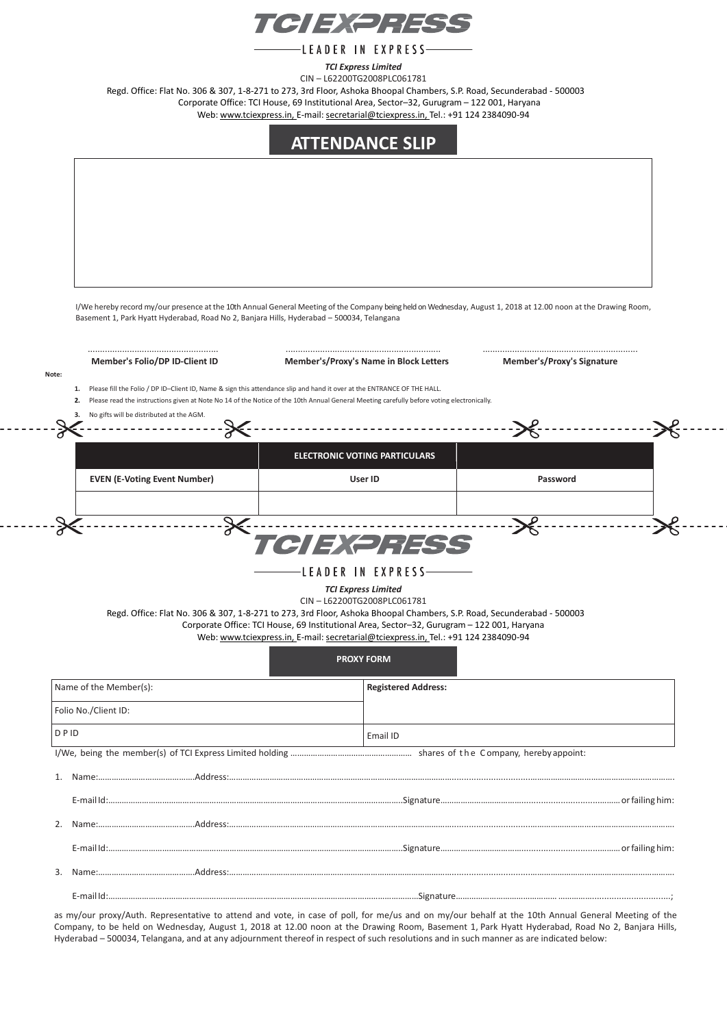

-LEADER IN EXPRESS-

*TCI Express Limited*

CIN – L62200TG2008PLC061781 Regd. Office: Flat No. 306 & 307, 1-8-271 to 273, 3rd Floor, Ashoka Bhoopal Chambers, S.P. Road, Secunderabad - 500003 Corporate Office: TCI House, 69 Institutional Area, Sector–32, Gurugram – 122 001, Haryana

Web: [www.tciexpress.in,](http://www.tciexpress.in/) E-mail: [secretarial@tciexpress.in,](mailto:secretarial@tciexpress.in) Tel.: +91 124 2384090-94

## **ATTENDANCE SLIP**

I/We hereby record my/our presence at the 10th Annual General Meeting of the Company being held on Wednesday, August 1, 2018 at 12.00 noon at the Drawing Room, Basement 1, Park Hyatt Hyderabad, Road No 2, Banjara Hills, Hyderabad – 500034, Telangana

 $- - - - -$ 

. . . . . . .

| Member's Folio/DP ID-Client ID                             | Member's/Proxy's Name in Block Letters                                                                                                                                                                                                                                                                                                                                                      | <b>Member's/Proxy's Signature</b> |  |
|------------------------------------------------------------|---------------------------------------------------------------------------------------------------------------------------------------------------------------------------------------------------------------------------------------------------------------------------------------------------------------------------------------------------------------------------------------------|-----------------------------------|--|
| 1.<br>2.<br>No gifts will be distributed at the AGM.<br>3. | Please fill the Folio / DP ID-Client ID, Name & sign this attendance slip and hand it over at the ENTRANCE OF THE HALL.<br>Please read the instructions given at Note No 14 of the Notice of the 10th Annual General Meeting carefully before voting electronically.                                                                                                                        |                                   |  |
|                                                            | <b>ELECTRONIC VOTING PARTICULARS</b>                                                                                                                                                                                                                                                                                                                                                        |                                   |  |
| <b>EVEN (E-Voting Event Number)</b>                        | User ID                                                                                                                                                                                                                                                                                                                                                                                     | Password                          |  |
| ╳                                                          | TCIEXPRESS<br>LEADER IN EXPRESS-                                                                                                                                                                                                                                                                                                                                                            |                                   |  |
|                                                            | <b>TCI Express Limited</b><br>CIN-L62200TG2008PLC061781<br>Regd. Office: Flat No. 306 & 307, 1-8-271 to 273, 3rd Floor, Ashoka Bhoopal Chambers, S.P. Road, Secunderabad - 500003<br>Corporate Office: TCI House, 69 Institutional Area, Sector-32, Gurugram - 122 001, Haryana<br>Web: www.tciexpress.in, E-mail: secretarial@tciexpress.in, Tel.: +91 124 2384090-94<br><b>PROXY FORM</b> |                                   |  |
| Name of the Member(s):                                     | <b>Registered Address:</b>                                                                                                                                                                                                                                                                                                                                                                  |                                   |  |
| Folio No./Client ID:                                       |                                                                                                                                                                                                                                                                                                                                                                                             |                                   |  |
|                                                            | Email ID                                                                                                                                                                                                                                                                                                                                                                                    |                                   |  |
|                                                            |                                                                                                                                                                                                                                                                                                                                                                                             |                                   |  |
|                                                            |                                                                                                                                                                                                                                                                                                                                                                                             |                                   |  |
|                                                            |                                                                                                                                                                                                                                                                                                                                                                                             |                                   |  |
|                                                            |                                                                                                                                                                                                                                                                                                                                                                                             |                                   |  |
| DPID                                                       |                                                                                                                                                                                                                                                                                                                                                                                             |                                   |  |

as my/our proxy/Auth. Representative to attend and vote, in case of poll, for me/us and on my/our behalf at the 10th Annual General Meeting of the Company, to be held on Wednesday, August 1, 2018 at 12.00 noon at the Drawing Room, Basement 1, Park Hyatt Hyderabad, Road No 2, Banjara Hills, Hyderabad – 500034, Telangana, and at any adjournment thereof in respect of such resolutions and in such manner as are indicated below: